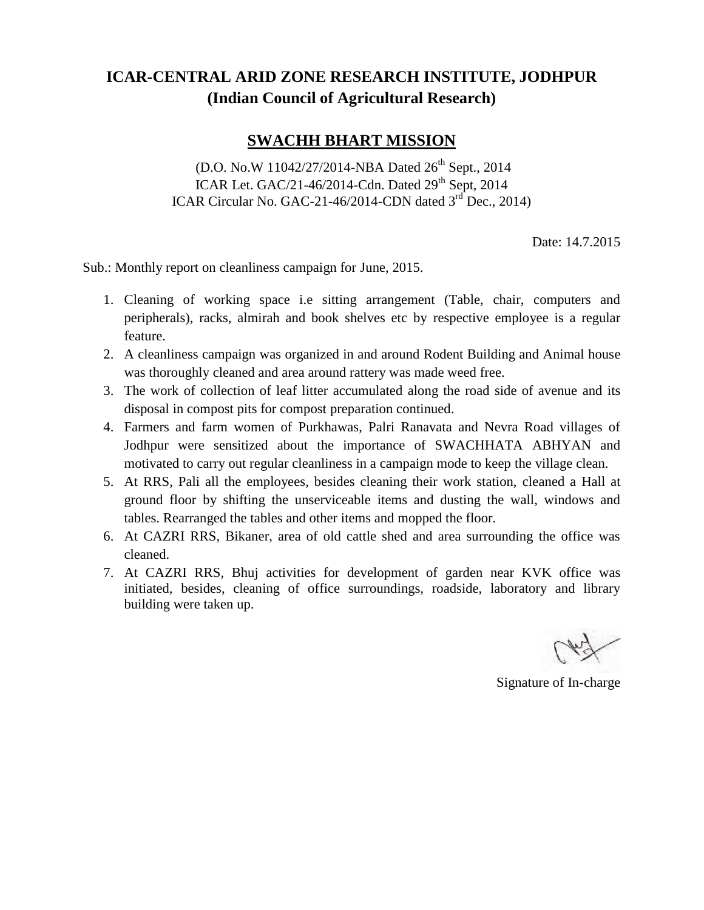## **ICAR-CENTRAL ARID ZONE RESEARCH INSTITUTE, JODHPUR (Indian Council of Agricultural Research)**

## **SWACHH BHART MISSION**

(D.O. No.W 11042/27/2014-NBA Dated 26<sup>th</sup> Sept., 2014 ICAR Let. GAC/21-46/2014-Cdn. Dated  $29<sup>th</sup>$  Sept, 2014 ICAR Circular No. GAC-21-46/2014-CDN dated 3<sup>rd</sup> Dec., 2014)

Date: 14.7.2015

Sub.: Monthly report on cleanliness campaign for June, 2015.

- 1. Cleaning of working space i.e sitting arrangement (Table, chair, computers and peripherals), racks, almirah and book shelves etc by respective employee is a regular feature.
- 2. A cleanliness campaign was organized in and around Rodent Building and Animal house was thoroughly cleaned and area around rattery was made weed free.
- 3. The work of collection of leaf litter accumulated along the road side of avenue and its disposal in compost pits for compost preparation continued.
- 4. Farmers and farm women of Purkhawas, Palri Ranavata and Nevra Road villages of Jodhpur were sensitized about the importance of SWACHHATA ABHYAN and motivated to carry out regular cleanliness in a campaign mode to keep the village clean.
- 5. At RRS, Pali all the employees, besides cleaning their work station, cleaned a Hall at ground floor by shifting the unserviceable items and dusting the wall, windows and tables. Rearranged the tables and other items and mopped the floor.
- 6. At CAZRI RRS, Bikaner, area of old cattle shed and area surrounding the office was cleaned.
- 7. At CAZRI RRS, Bhuj activities for development of garden near KVK office was initiated, besides, cleaning of office surroundings, roadside, laboratory and library building were taken up.

Signature of In-charge